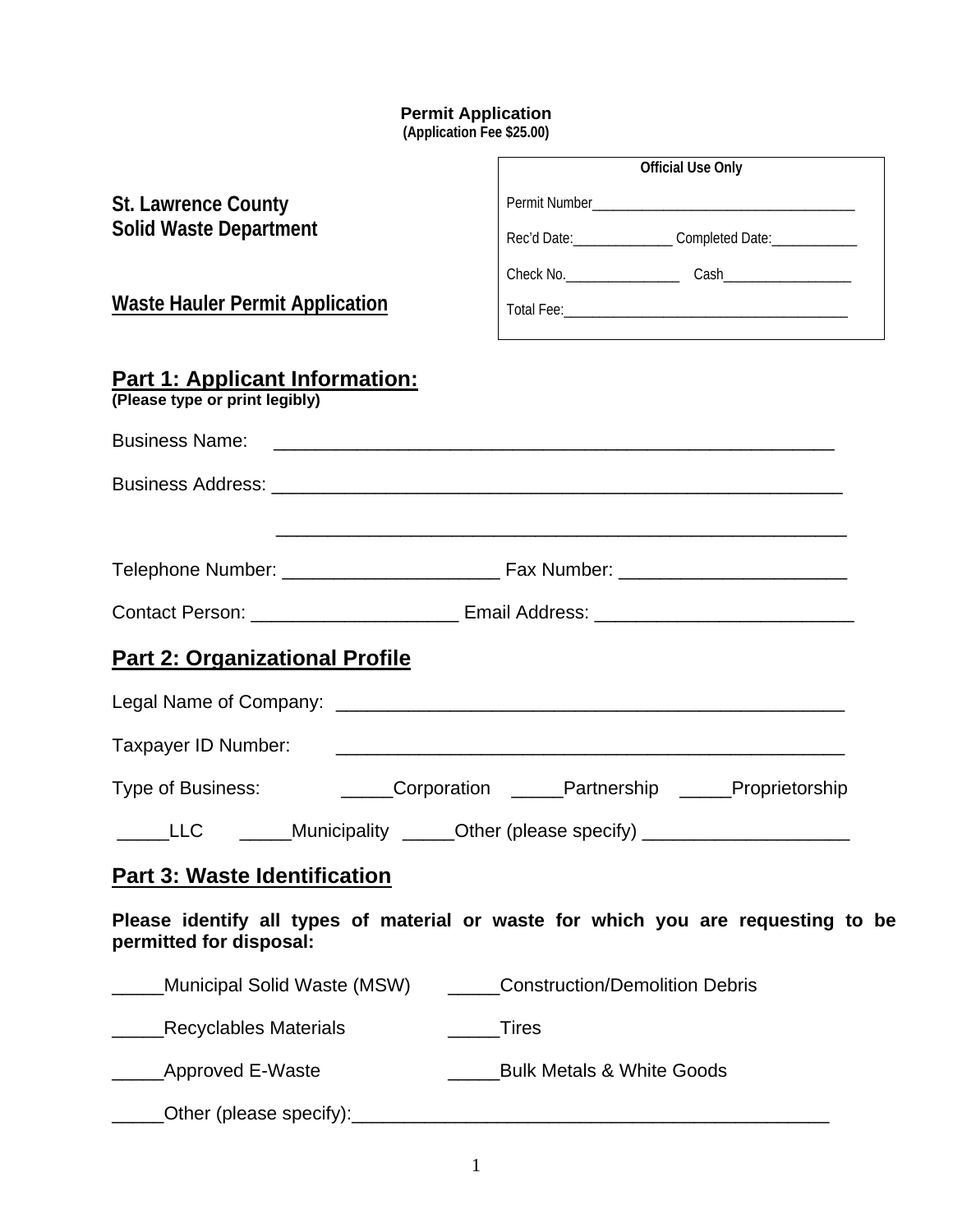## **Permit Application**

**(Application Fee \$25.00)** 

|                                                                         | <b>Official Use Only</b>                                                                                             |
|-------------------------------------------------------------------------|----------------------------------------------------------------------------------------------------------------------|
| <b>St. Lawrence County</b>                                              |                                                                                                                      |
| <b>Solid Waste Department</b>                                           | Rec'd Date:__________________Completed Date:_______________                                                          |
|                                                                         |                                                                                                                      |
| <b>Waste Hauler Permit Application</b>                                  |                                                                                                                      |
| <b>Part 1: Applicant Information:</b><br>(Please type or print legibly) |                                                                                                                      |
| <b>Business Name:</b>                                                   | <u> 1980 - Jan James James Barnett, amerikan bestean di sebagai personal di sebagai personal di sebagai personal</u> |
|                                                                         |                                                                                                                      |
|                                                                         |                                                                                                                      |
|                                                                         |                                                                                                                      |
|                                                                         | Contact Person: __________________________ Email Address: ______________________                                     |
| <b>Part 2: Organizational Profile</b>                                   |                                                                                                                      |
|                                                                         |                                                                                                                      |
| Taxpayer ID Number:                                                     | <u> 2000 - Jan James James James James James James James James James James James James James James James James J</u> |
|                                                                         | Type of Business: __________Corporation ______Partnership _____Proprietorship                                        |
| <b>ELC</b>                                                              | ______Municipality ______Other (please specify) ________________________                                             |
| <b>Part 3: Waste Identification</b>                                     |                                                                                                                      |
| permitted for disposal:                                                 | Please identify all types of material or waste for which you are requesting to be                                    |
|                                                                         | Municipal Solid Waste (MSW) ______Construction/Demolition Debris                                                     |
| <b>Recyclables Materials</b>                                            | <b>Tires</b>                                                                                                         |
| Approved E-Waste                                                        | <b>Bulk Metals &amp; White Goods</b>                                                                                 |
|                                                                         |                                                                                                                      |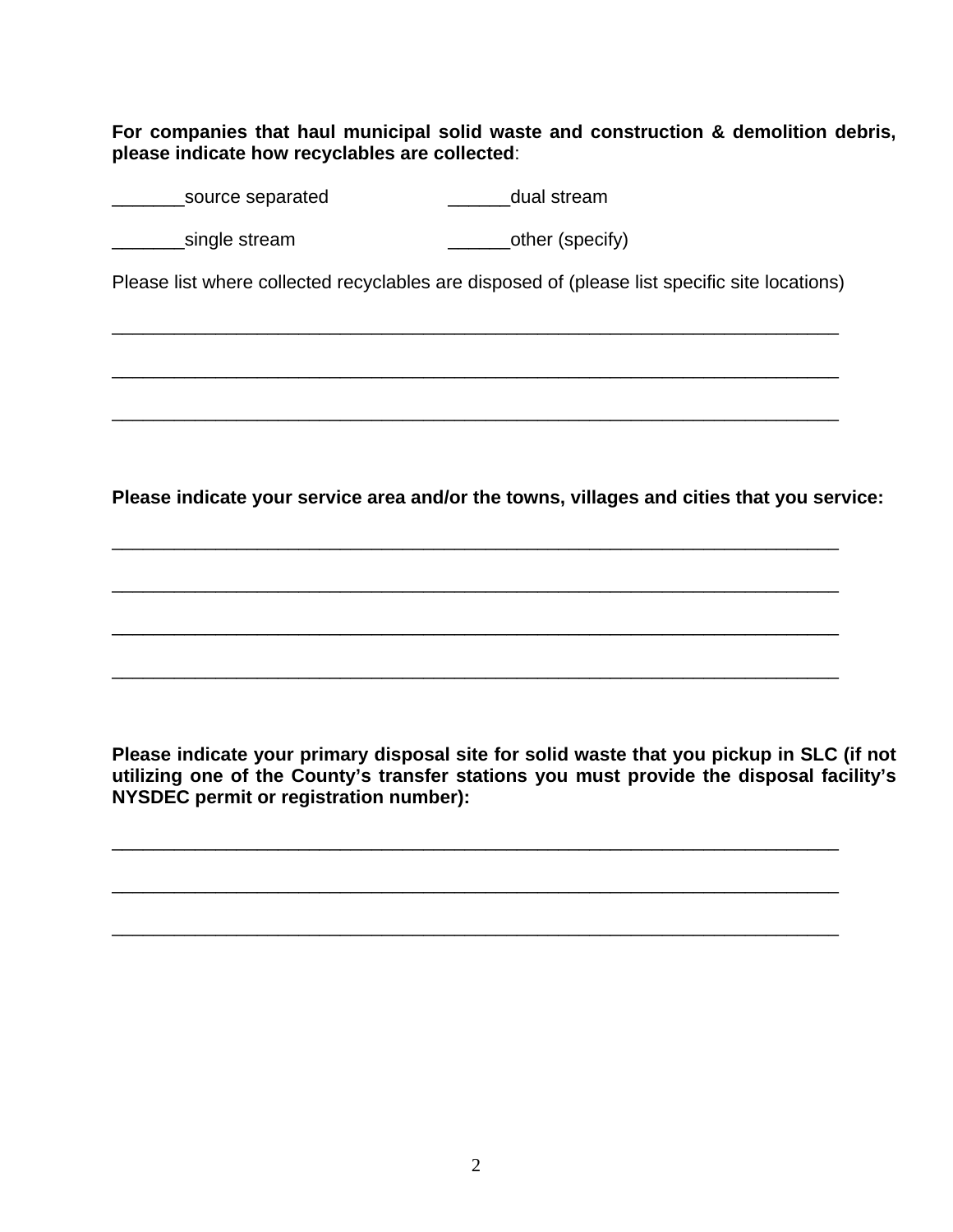**For companies that haul municipal solid waste and construction & demolition debris, please indicate how recyclables are collected**:

| source separated | dual stream |  |  |
|------------------|-------------|--|--|
|                  |             |  |  |

single stream and the contract of the stream single stream and the contract of the stream of the stream stream

Please list where collected recyclables are disposed of (please list specific site locations)

\_\_\_\_\_\_\_\_\_\_\_\_\_\_\_\_\_\_\_\_\_\_\_\_\_\_\_\_\_\_\_\_\_\_\_\_\_\_\_\_\_\_\_\_\_\_\_\_\_\_\_\_\_\_\_\_\_\_\_\_\_\_\_\_\_\_\_\_\_\_

\_\_\_\_\_\_\_\_\_\_\_\_\_\_\_\_\_\_\_\_\_\_\_\_\_\_\_\_\_\_\_\_\_\_\_\_\_\_\_\_\_\_\_\_\_\_\_\_\_\_\_\_\_\_\_\_\_\_\_\_\_\_\_\_\_\_\_\_\_\_

\_\_\_\_\_\_\_\_\_\_\_\_\_\_\_\_\_\_\_\_\_\_\_\_\_\_\_\_\_\_\_\_\_\_\_\_\_\_\_\_\_\_\_\_\_\_\_\_\_\_\_\_\_\_\_\_\_\_\_\_\_\_\_\_\_\_\_\_\_\_

\_\_\_\_\_\_\_\_\_\_\_\_\_\_\_\_\_\_\_\_\_\_\_\_\_\_\_\_\_\_\_\_\_\_\_\_\_\_\_\_\_\_\_\_\_\_\_\_\_\_\_\_\_\_\_\_\_\_\_\_\_\_\_\_\_\_\_\_\_\_

\_\_\_\_\_\_\_\_\_\_\_\_\_\_\_\_\_\_\_\_\_\_\_\_\_\_\_\_\_\_\_\_\_\_\_\_\_\_\_\_\_\_\_\_\_\_\_\_\_\_\_\_\_\_\_\_\_\_\_\_\_\_\_\_\_\_\_\_\_\_

\_\_\_\_\_\_\_\_\_\_\_\_\_\_\_\_\_\_\_\_\_\_\_\_\_\_\_\_\_\_\_\_\_\_\_\_\_\_\_\_\_\_\_\_\_\_\_\_\_\_\_\_\_\_\_\_\_\_\_\_\_\_\_\_\_\_\_\_\_\_

\_\_\_\_\_\_\_\_\_\_\_\_\_\_\_\_\_\_\_\_\_\_\_\_\_\_\_\_\_\_\_\_\_\_\_\_\_\_\_\_\_\_\_\_\_\_\_\_\_\_\_\_\_\_\_\_\_\_\_\_\_\_\_\_\_\_\_\_\_\_

\_\_\_\_\_\_\_\_\_\_\_\_\_\_\_\_\_\_\_\_\_\_\_\_\_\_\_\_\_\_\_\_\_\_\_\_\_\_\_\_\_\_\_\_\_\_\_\_\_\_\_\_\_\_\_\_\_\_\_\_\_\_\_\_\_\_\_\_\_\_

\_\_\_\_\_\_\_\_\_\_\_\_\_\_\_\_\_\_\_\_\_\_\_\_\_\_\_\_\_\_\_\_\_\_\_\_\_\_\_\_\_\_\_\_\_\_\_\_\_\_\_\_\_\_\_\_\_\_\_\_\_\_\_\_\_\_\_\_\_\_

\_\_\_\_\_\_\_\_\_\_\_\_\_\_\_\_\_\_\_\_\_\_\_\_\_\_\_\_\_\_\_\_\_\_\_\_\_\_\_\_\_\_\_\_\_\_\_\_\_\_\_\_\_\_\_\_\_\_\_\_\_\_\_\_\_\_\_\_\_\_

**Please indicate your service area and/or the towns, villages and cities that you service:** 

**Please indicate your primary disposal site for solid waste that you pickup in SLC (if not utilizing one of the County's transfer stations you must provide the disposal facility's NYSDEC permit or registration number):**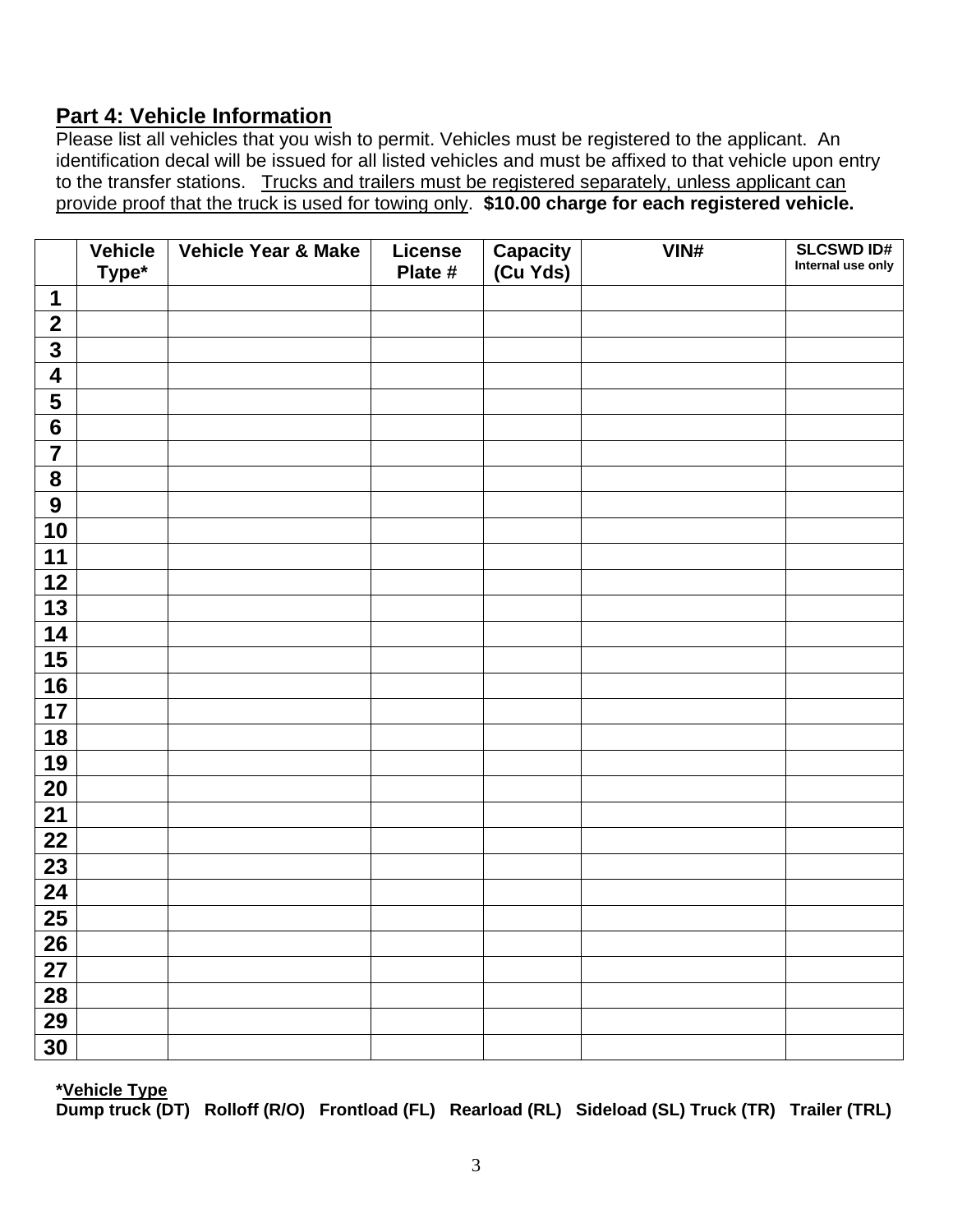## **Part 4: Vehicle Information**

Please list all vehicles that you wish to permit. Vehicles must be registered to the applicant. An identification decal will be issued for all listed vehicles and must be affixed to that vehicle upon entry to the transfer stations. Trucks and trailers must be registered separately, unless applicant can provide proof that the truck is used for towing only. **\$10.00 charge for each registered vehicle.** 

|                         | <b>Vehicle</b><br>Type* | Vehicle Year & Make | <b>License</b><br>Plate # | Capacity<br>(Cu Yds) | VIN# | <b>SLCSWD ID#</b><br>Internal use only |
|-------------------------|-------------------------|---------------------|---------------------------|----------------------|------|----------------------------------------|
| 1                       |                         |                     |                           |                      |      |                                        |
| $\mathbf{2}$            |                         |                     |                           |                      |      |                                        |
| $\overline{\mathbf{3}}$ |                         |                     |                           |                      |      |                                        |
| $\overline{\mathbf{4}}$ |                         |                     |                           |                      |      |                                        |
| $\overline{\mathbf{5}}$ |                         |                     |                           |                      |      |                                        |
| $\overline{\mathbf{6}}$ |                         |                     |                           |                      |      |                                        |
| $\overline{7}$          |                         |                     |                           |                      |      |                                        |
| ${\bf 8}$               |                         |                     |                           |                      |      |                                        |
| $\boldsymbol{9}$        |                         |                     |                           |                      |      |                                        |
| 10                      |                         |                     |                           |                      |      |                                        |
| 11                      |                         |                     |                           |                      |      |                                        |
| 12                      |                         |                     |                           |                      |      |                                        |
| 13                      |                         |                     |                           |                      |      |                                        |
| 14                      |                         |                     |                           |                      |      |                                        |
| 15                      |                         |                     |                           |                      |      |                                        |
| 16                      |                         |                     |                           |                      |      |                                        |
| 17                      |                         |                     |                           |                      |      |                                        |
| 18                      |                         |                     |                           |                      |      |                                        |
| 19                      |                         |                     |                           |                      |      |                                        |
| 20                      |                         |                     |                           |                      |      |                                        |
| 21                      |                         |                     |                           |                      |      |                                        |
| 22                      |                         |                     |                           |                      |      |                                        |
| $\overline{23}$         |                         |                     |                           |                      |      |                                        |
| $\overline{24}$         |                         |                     |                           |                      |      |                                        |
| $\overline{25}$         |                         |                     |                           |                      |      |                                        |
| 26                      |                         |                     |                           |                      |      |                                        |
| 27                      |                         |                     |                           |                      |      |                                        |
| $\overline{28}$         |                         |                     |                           |                      |      |                                        |
| 29                      |                         |                     |                           |                      |      |                                        |
| 30                      |                         |                     |                           |                      |      |                                        |

**\*Vehicle Type** 

**Dump truck (DT) Rolloff (R/O) Frontload (FL) Rearload (RL) Sideload (SL) Truck (TR) Trailer (TRL)**